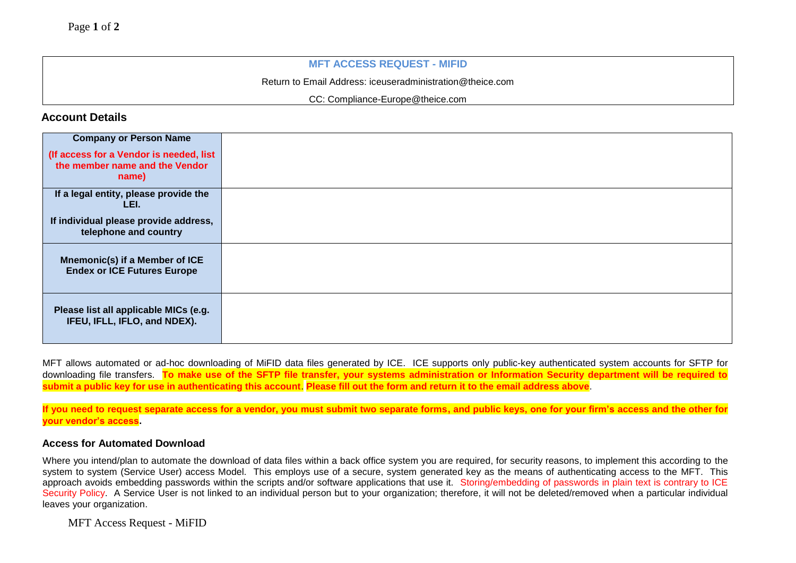### **MFT ACCESS REQUEST - MIFID**

Return to Email Address: [iceuseradministration@theice.com](mailto:iceuseradministration@theice.com)

CC: [Compliance-Europe@theice.com](mailto:Compliance-Europe@theice.com)

# **Account Details**

| <b>Company or Person Name</b>                                                      |  |
|------------------------------------------------------------------------------------|--|
| (If access for a Vendor is needed, list<br>the member name and the Vendor<br>name) |  |
| If a legal entity, please provide the<br>LEI.                                      |  |
| If individual please provide address,<br>telephone and country                     |  |
| Mnemonic(s) if a Member of ICE<br><b>Endex or ICE Futures Europe</b>               |  |
| Please list all applicable MICs (e.g.<br>IFEU, IFLL, IFLO, and NDEX).              |  |

MFT allows automated or ad-hoc downloading of MiFID data files generated by ICE. ICE supports only public-key authenticated system accounts for SFTP for downloading file transfers. **To make use of the SFTP file transfer, your systems administration or Information Security department will be required to submit a public key for use in authenticating this account**. **Please fill out the form and return it to the email address above**.

**If you need to request separate access for a vendor, you must submit two separate forms, and public keys, one for your firm's access and the other for your vendor's access.**

#### **Access for Automated Download**

Where you intend/plan to automate the download of data files within a back office system you are required, for security reasons, to implement this according to the system to system (Service User) access Model. This employs use of a secure, system generated key as the means of authenticating access to the MFT. This approach avoids embedding passwords within the scripts and/or software applications that use it. Storing/embedding of passwords in plain text is contrary to ICE Security Policy. A Service User is not linked to an individual person but to your organization; therefore, it will not be deleted/removed when a particular individual leaves your organization.

MFT Access Request - MiFID